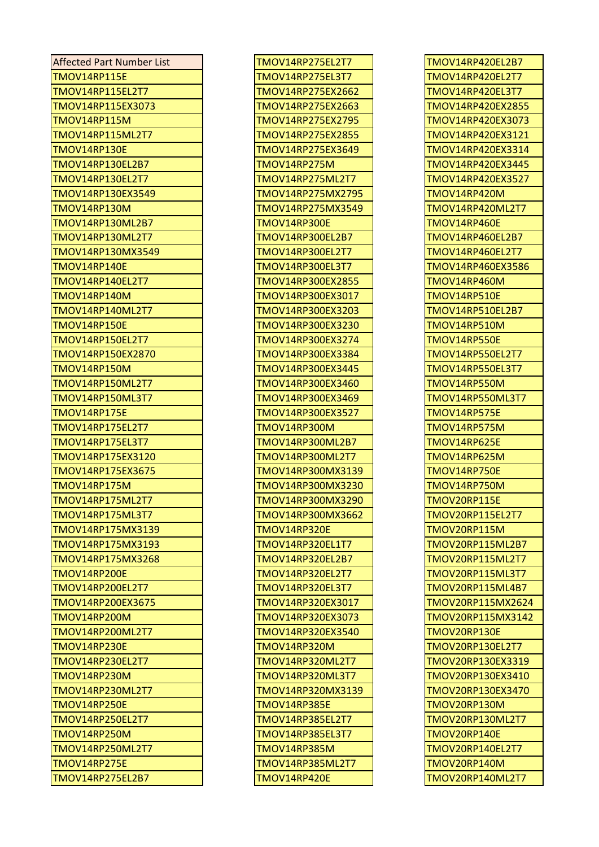| <b>Affected Part Number List</b> | TMOV14RP275EL2T7    | TMOV14RP420EL2B7        |
|----------------------------------|---------------------|-------------------------|
| TMOV14RP115E                     | TMOV14RP275EL3T7    | TMOV14RP420EL2T7        |
| TMOV14RP115EL2T7                 | TMOV14RP275EX2662   | TMOV14RP420EL3T7        |
| TMOV14RP115EX3073                | TMOV14RP275EX2663   | TMOV14RP420EX2855       |
| TMOV14RP115M                     | TMOV14RP275EX2795   | TMOV14RP420EX3073       |
| TMOV14RP115ML2T7                 | TMOV14RP275EX2855   | TMOV14RP420EX3121       |
| TMOV14RP130E                     | TMOV14RP275EX3649   | TMOV14RP420EX3314       |
| TMOV14RP130EL2B7                 | <b>TMOV14RP275M</b> | TMOV14RP420EX3445       |
| TMOV14RP130EL2T7                 | TMOV14RP275ML2T7    | TMOV14RP420EX3527       |
| TMOV14RP130EX3549                | TMOV14RP275MX2795   | TMOV14RP420M            |
| TMOV14RP130M                     | TMOV14RP275MX3549   | TMOV14RP420ML2T7        |
| TMOV14RP130ML2B7                 | TMOV14RP300E        | TMOV14RP460E            |
| TMOV14RP130ML2T7                 | TMOV14RP300EL2B7    | TMOV14RP460EL2B7        |
| TMOV14RP130MX3549                | TMOV14RP300EL2T7    | TMOV14RP460EL2T7        |
| TMOV14RP140E                     | TMOV14RP300EL3T7    | TMOV14RP460EX3586       |
| TMOV14RP140EL2T7                 | TMOV14RP300EX2855   | TMOV14RP460M            |
| TMOV14RP140M                     | TMOV14RP300EX3017   | <b>TMOV14RP510E</b>     |
| TMOV14RP140ML2T7                 | TMOV14RP300EX3203   | TMOV14RP510EL2B7        |
| TMOV14RP150E                     | TMOV14RP300EX3230   | <b>TMOV14RP510M</b>     |
| TMOV14RP150EL2T7                 | TMOV14RP300EX3274   | TMOV14RP550E            |
| TMOV14RP150EX2870                | TMOV14RP300EX3384   | TMOV14RP550EL2T7        |
| TMOV14RP150M                     | TMOV14RP300EX3445   | TMOV14RP550EL3T7        |
| TMOV14RP150ML2T7                 | TMOV14RP300EX3460   | TMOV14RP550M            |
| TMOV14RP150ML3T7                 | TMOV14RP300EX3469   | TMOV14RP550ML3T7        |
| TMOV14RP175E                     | TMOV14RP300EX3527   | TMOV14RP575E            |
| TMOV14RP175EL2T7                 | <b>TMOV14RP300M</b> | TMOV14RP575M            |
| TMOV14RP175EL3T7                 | TMOV14RP300ML2B7    | TMOV14RP625E            |
| TMOV14RP175EX3120                | TMOV14RP300ML2T7    | TMOV14RP625M            |
| TMOV14RP175EX3675                | TMOV14RP300MX3139   | TMOV14RP750E            |
| TMOV14RP175M                     | TMOV14RP300MX3230   | TMOV14RP750M            |
| TMOV14RP175ML2T7                 | TMOV14RP300MX3290   | TMOV20RP115E            |
| TMOV14RP175ML3T7                 | TMOV14RP300MX3662   | TMOV20RP115EL2T7        |
| TMOV14RP175MX3139                | <b>TMOV14RP320E</b> | TMOV20RP115M            |
| TMOV14RP175MX3193                | TMOV14RP320EL1T7    | TMOV20RP115ML2B7        |
| TMOV14RP175MX3268                | TMOV14RP320EL2B7    | TMOV20RP115ML2T7        |
| TMOV14RP200E                     | TMOV14RP320EL2T7    | <b>TMOV20RP115ML3T7</b> |
| TMOV14RP200EL2T7                 | TMOV14RP320EL3T7    | TMOV20RP115ML4B7        |
| TMOV14RP200EX3675                | TMOV14RP320EX3017   | TMOV20RP115MX2624       |
| TMOV14RP200M                     | TMOV14RP320EX3073   | TMOV20RP115MX3142       |
| TMOV14RP200ML2T7                 | TMOV14RP320EX3540   | TMOV20RP130E            |
| TMOV14RP230E                     | TMOV14RP320M        | TMOV20RP130EL2T7        |
| TMOV14RP230EL2T7                 | TMOV14RP320ML2T7    | TMOV20RP130EX3319       |
| TMOV14RP230M                     | TMOV14RP320ML3T7    | TMOV20RP130EX3410       |
| TMOV14RP230ML2T7                 | TMOV14RP320MX3139   | TMOV20RP130EX3470       |
| TMOV14RP250E                     | <b>TMOV14RP385E</b> | TMOV20RP130M            |
| TMOV14RP250EL2T7                 | TMOV14RP385EL2T7    | TMOV20RP130ML2T7        |
| TMOV14RP250M                     | TMOV14RP385EL3T7    | TMOV20RP140E            |
| TMOV14RP250ML2T7                 | TMOV14RP385M        | TMOV20RP140EL2T7        |
| TMOV14RP275E                     | TMOV14RP385ML2T7    | TMOV20RP140M            |
| TMOV14RP275EL2B7                 | TMOV14RP420E        | TMOV20RP140ML2T7        |

| <b>TMOV14RP275EL2T7</b>          |
|----------------------------------|
| <b>TMOV14RP275EL3T7</b>          |
| TMOV14RP275EX2662                |
| TMOV14RP275EX2663                |
| TMOV14RP275EX2795                |
| TMOV14RP275EX2855                |
| TMOV14RP275EX3649                |
| TMOV14RP275M                     |
|                                  |
| <b>TMOV14RP275ML2T7</b>          |
| TMOV14RP275MX2795                |
| TMOV14RP275MX3549                |
| TMOV14RP300E                     |
| TMOV14RP300EL2B7                 |
| TMOV14RP300EL2T7                 |
| <b>TMOV14RP300EL3T7</b>          |
| TMOV14RP300EX2855                |
| TMOV14RP300EX3017                |
| TMOV14RP300EX3203                |
| TMOV14RP300EX3230                |
| TMOV14RP300EX3274                |
|                                  |
| TMOV14RP300EX3384                |
| TMOV14RP300EX3445                |
|                                  |
| TMOV14RP300EX3460                |
| TMOV14RP300EX3469                |
| TMOV14RP300EX3527                |
| <b>TMOV14RP300M</b>              |
| TMOV14RP300ML2B7                 |
| TMOV14RP300ML2T7                 |
| TMOV14RP300MX3139                |
| TMOV14RP300MX3230                |
| TMOV14RP300MX3290                |
|                                  |
| TMOV14RP300MX3662                |
| <b>TMOV14RP320E</b>              |
| <b>TMOV14RP320EL1T7</b>          |
| TMOV14RP320EL2B7                 |
| <b>TMOV14RP320EL2T7</b>          |
| TMOV14RP320EL3T7                 |
| TMOV14RP320EX3017                |
| TMOV14RP320EX3073                |
| TMOV14RP320EX3540                |
| <b>TMOV14RP320M</b>              |
| TMOV14RP320ML2T7                 |
| TMOV14RP320ML3T7                 |
| TMOV14RP320MX3139                |
| TMOV14RP385E                     |
| <b>TMOV14RP385EL2T7</b>          |
|                                  |
| TMOV14RP385EL3T7                 |
| <b>TMOV14RP385M</b>              |
| TMOV14RP385ML2T7<br>TMOV14RP420E |

| TMOV14RP420EL2B7        |
|-------------------------|
|                         |
| TMOV14RP420EL2T7        |
| TMOV14RP420EL3T7        |
| TMOV14RP420EX2855       |
| TMOV14RP420EX3073       |
| TMOV14RP420EX3121       |
| TMOV14RP420EX3314       |
| TMOV14RP420EX3445       |
| TMOV14RP420EX3527       |
| TMOV14RP420M            |
| TMOV14RP420ML2T7        |
| TMOV14RP460E            |
| TMOV14RP460EL2B7        |
| TMOV14RP460EL2T7        |
| TMOV14RP460EX3586       |
| TMOV14RP460M            |
| TMOV14RP510E            |
| TMOV14RP510EL2B7        |
| TMOV14RP510M            |
| TMOV14RP550E            |
| TMOV14RP550EL2T7        |
| <b>TMOV14RP550EL3T7</b> |
| <b>TMOV14RP550M</b>     |
|                         |
| TMOV14RP550ML3T7        |
| TMOV14RP575E            |
| TMOV14RP575M            |
| TMOV14RP625E            |
| TMOV14RP625M            |
| <b>TMOV14RP750E</b>     |
|                         |
| TMOV14RP750M            |
| TMOV20RP115E            |
| <b>TMOV20RP115EL2T7</b> |
| TMOV20RP115M            |
| TMOV20RP115ML2B7        |
| TMOV20RP115ML2T7        |
| TMOV20RP115ML3T7        |
| TMOV20RP115ML4B7        |
| TMOV20RP115MX2624       |
| TMOV20RP115MX3142       |
| TMOV20RP130E            |
| TMOV20RP130EL2T7        |
| TMOV20RP130EX3319       |
| TMOV20RP130EX3410       |
| TMOV20RP130EX3470       |
| TMOV20RP130M            |
| TMOV20RP130ML2T7        |
| TMOV20RP140E            |
| TMOV20RP140EL2T7        |
| TMOV20RP140M            |
| TMOV20RP140ML2T7        |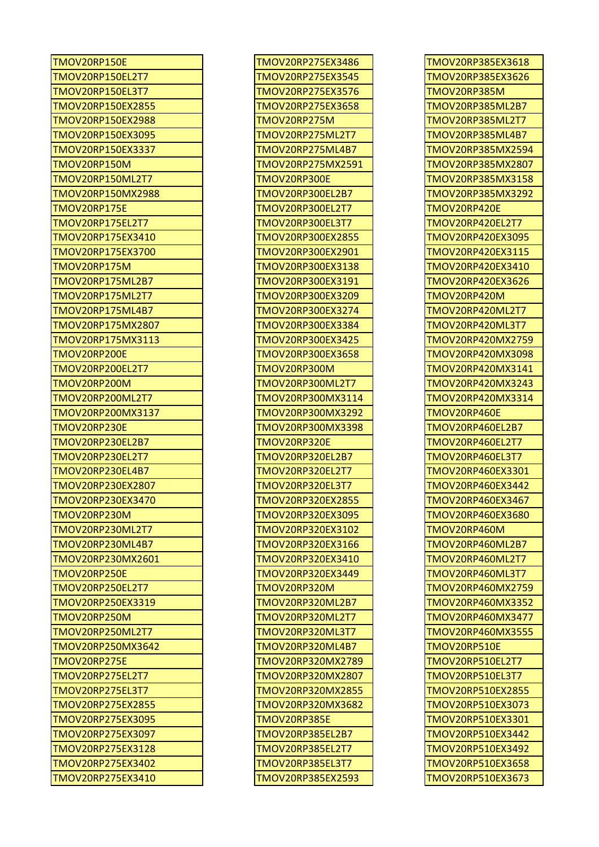| TMOV20RP150E             | TMOV20RP275EX3486       | TMOV20RP385EX3618       |
|--------------------------|-------------------------|-------------------------|
| TMOV20RP150EL2T7         | TMOV20RP275EX3545       | TMOV20RP385EX3626       |
| TMOV20RP150EL3T7         | TMOV20RP275EX3576       | TMOV20RP385M            |
| <b>TMOV20RP150EX2855</b> | TMOV20RP275EX3658       | TMOV20RP385ML2B7        |
| <b>TMOV20RP150EX2988</b> | <b>TMOV20RP275M</b>     | TMOV20RP385ML2T7        |
| TMOV20RP150EX3095        | TMOV20RP275ML2T7        | TMOV20RP385ML4B7        |
| TMOV20RP150EX3337        | TMOV20RP275ML4B7        | TMOV20RP385MX2594       |
| TMOV20RP150M             | TMOV20RP275MX2591       | TMOV20RP385MX2807       |
| TMOV20RP150ML2T7         | TMOV20RP300E            | TMOV20RP385MX3158       |
| TMOV20RP150MX2988        | <b>TMOV20RP300EL2B7</b> | TMOV20RP385MX3292       |
| TMOV20RP175E             | TMOV20RP300EL2T7        | TMOV20RP420E            |
| TMOV20RP175EL2T7         | <b>TMOV20RP300EL3T7</b> | <b>TMOV20RP420EL2T7</b> |
| TMOV20RP175EX3410        | TMOV20RP300EX2855       | TMOV20RP420EX3095       |
| <b>TMOV20RP175EX3700</b> | TMOV20RP300EX2901       | TMOV20RP420EX3115       |
| TMOV20RP175M             | TMOV20RP300EX3138       | TMOV20RP420EX3410       |
| TMOV20RP175ML2B7         | TMOV20RP300EX3191       | TMOV20RP420EX3626       |
| TMOV20RP175ML2T7         | TMOV20RP300EX3209       | TMOV20RP420M            |
| TMOV20RP175ML4B7         | TMOV20RP300EX3274       | TMOV20RP420ML2T7        |
| TMOV20RP175MX2807        | TMOV20RP300EX3384       | TMOV20RP420ML3T7        |
| TMOV20RP175MX3113        | TMOV20RP300EX3425       | TMOV20RP420MX2759       |
| TMOV20RP200E             | TMOV20RP300EX3658       | TMOV20RP420MX3098       |
| TMOV20RP200EL2T7         | TMOV20RP300M            | TMOV20RP420MX3141       |
| TMOV20RP200M             | <b>TMOV20RP300ML2T7</b> | TMOV20RP420MX3243       |
| TMOV20RP200ML2T7         | TMOV20RP300MX3114       | TMOV20RP420MX3314       |
| <b>TMOV20RP200MX3137</b> | TMOV20RP300MX3292       | TMOV20RP460E            |
| TMOV20RP230E             | TMOV20RP300MX3398       | <b>TMOV20RP460EL2B7</b> |
| TMOV20RP230EL2B7         | TMOV20RP320E            | <b>TMOV20RP460EL2T7</b> |
| TMOV20RP230EL2T7         | <b>TMOV20RP320EL2B7</b> | <b>TMOV20RP460EL3T7</b> |
| TMOV20RP230EL4B7         | <b>TMOV20RP320EL2T7</b> | TMOV20RP460EX3301       |
| TMOV20RP230EX2807        | <b>TMOV20RP320EL3T7</b> | TMOV20RP460EX3442       |
| TMOV20RP230EX3470        | TMOV20RP320EX2855       | TMOV20RP460EX3467       |
| TMOV20RP230M             | TMOV20RP320EX3095       | TMOV20RP460EX3680       |
| TMOV20RP230ML2T7         | TMOV20RP320EX3102       | TMOV20RP460M            |
| TMOV20RP230ML4B7         | TMOV20RP320EX3166       | <b>TMOV20RP460ML2B7</b> |
| TMOV20RP230MX2601        | TMOV20RP320EX3410       | TMOV20RP460ML2T7        |
| TMOV20RP250E             | TMOV20RP320EX3449       | TMOV20RP460ML3T7        |
| TMOV20RP250EL2T7         | TMOV20RP320M            | TMOV20RP460MX2759       |
| TMOV20RP250EX3319        | TMOV20RP320ML2B7        | TMOV20RP460MX3352       |
| TMOV20RP250M             | TMOV20RP320ML2T7        | TMOV20RP460MX3477       |
| TMOV20RP250ML2T7         | <b>TMOV20RP320ML3T7</b> | TMOV20RP460MX3555       |
| <b>TMOV20RP250MX3642</b> | <b>TMOV20RP320ML4B7</b> | TMOV20RP510E            |
| TMOV20RP275E             | TMOV20RP320MX2789       | TMOV20RP510EL2T7        |
| TMOV20RP275EL2T7         | TMOV20RP320MX2807       | <b>TMOV20RP510EL3T7</b> |
| TMOV20RP275EL3T7         | TMOV20RP320MX2855       | TMOV20RP510EX2855       |
| <b>TMOV20RP275EX2855</b> | TMOV20RP320MX3682       | TMOV20RP510EX3073       |
| TMOV20RP275EX3095        | TMOV20RP385E            | TMOV20RP510EX3301       |
| TMOV20RP275EX3097        | <b>TMOV20RP385EL2B7</b> | TMOV20RP510EX3442       |
| TMOV20RP275EX3128        | TMOV20RP385EL2T7        | TMOV20RP510EX3492       |
| TMOV20RP275EX3402        | <b>TMOV20RP385EL3T7</b> | TMOV20RP510EX3658       |
| TMOV20RP275EX3410        | TMOV20RP385EX2593       | TMOV20RP510EX3673       |

| TMOV20RP275EX3486                            |
|----------------------------------------------|
| TMOV20RP275EX3545                            |
| TMOV20RP275EX3576                            |
| TMOV20RP275EX3658                            |
| TMOV20RP275M                                 |
| <b>TMOV20RP275ML2T7</b>                      |
| TMOV20RP275ML4B7                             |
| TMOV20RP275MX2591                            |
| TMOV20RP300E                                 |
| <b>TMOV20RP300EL2B7</b>                      |
| <b>TMOV20RP300EL2T7</b>                      |
|                                              |
| TMOV20RP300EL3T7                             |
| TMOV20RP300EX2855                            |
| TMOV20RP300EX2901                            |
| TMOV20RP300EX3138                            |
| TMOV20RP300EX3191                            |
| TMOV20RP300EX3209                            |
| TMOV20RP300EX3274                            |
| TMOV20RP300EX3384                            |
| TMOV20RP300EX3425                            |
| TMOV20RP300EX3658                            |
| TMOV20RP300M                                 |
| <b>TMOV20RP300ML2T7</b>                      |
| TMOV20RP300MX3114                            |
|                                              |
|                                              |
| TMOV20RP300MX3292                            |
| TMOV20RP300MX3398                            |
| TMOV20RP320E                                 |
| <b>TMOV20RP320EL2B7</b>                      |
| <b>TMOV20RP320EL2T7</b>                      |
| <b>TMOV20RP320EL3T7</b>                      |
| TMOV20RP320EX2855                            |
| TMOV20RP320EX3095                            |
| TMOV20RP320EX3102                            |
| TMOV20RP320EX3166                            |
|                                              |
| TMOV20RP320EX3410<br>TMOV20RP320EX3449       |
|                                              |
| TMOV20RP320M                                 |
| TMOV20RP320ML2B7                             |
| <b>TMOV20RP320ML2T7</b>                      |
| TMOV20RP320ML3T<br>7                         |
| <b>TMOV20RP320ML4B7</b>                      |
| TMOV20RP320MX2789                            |
| TMOV20RP320MX2807                            |
| TMOV20RP320MX2855                            |
| TMOV20RP320MX3682                            |
| TMOV20RP385E                                 |
| TMOV20RP385EL2B7                             |
| <b>TMOV20RP385EL2T7</b>                      |
|                                              |
| <b>TMOV20RP385EL3T7</b><br>TMOV20RP385EX2593 |

| TMOV20RP385EX3618                      |
|----------------------------------------|
| TMOV20RP385EX3626                      |
| TMOV20RP385M                           |
| <b>TMOV20RP385ML2B7</b>                |
| <b>TMOV20RP385ML2T7</b>                |
| TMOV20RP385ML4B7                       |
| TMOV20RP385MX2594                      |
| TMOV20RP385MX2807                      |
| TMOV20RP385MX3158                      |
| TMOV20RP385MX3292                      |
| TMOV20RP420E                           |
| <b>TMOV20RP420EL2T7</b>                |
| TMOV20RP420EX3095                      |
| TMOV20RP420EX3115                      |
| TMOV20RP420EX3410                      |
|                                        |
| TMOV20RP420EX3626                      |
| TMOV20RP420M                           |
| TMOV20RP420ML2T7                       |
| <b>TMOV20RP420ML3T7</b>                |
| TMOV20RP420MX2759                      |
| TMOV20RP420MX3098                      |
| TMOV20RP420MX3141                      |
| TMOV20RP420MX3243                      |
| TMOV20RP420MX3314                      |
| TMOV20RP460E                           |
| TMOV20RP460EL2B7                       |
| TMOV20RP460EL2T7                       |
| TMOV20RP460EL3T7                       |
| TMOV20RP460EX3301                      |
| TMOV20RP460EX3442                      |
| TMOV20RP460EX3467                      |
| TMOV20RP460EX3680                      |
| TMOV20RP460M                           |
| TMOV20RP460ML2B7                       |
| <b>TMOV20RP460ML2T7</b>                |
| TMOV20RP460ML3T7                       |
| TMOV20RP460MX2759                      |
| TMOV20RP460MX3352                      |
| TMOV20RP460MX3477                      |
|                                        |
|                                        |
| TMOV20RP460MX3555                      |
| TMOV20RP510E                           |
| TMOV20RP510EL2T7                       |
| TMOV20RP510EL3T7                       |
| TMOV20RP510EX2855                      |
| TMOV20RP510EX3073                      |
| TMOV20RP510EX3301                      |
| TMOV20RP510EX3442                      |
| TMOV20RP510EX3492                      |
| TMOV20RP510EX3658<br>TMOV20RP510EX3673 |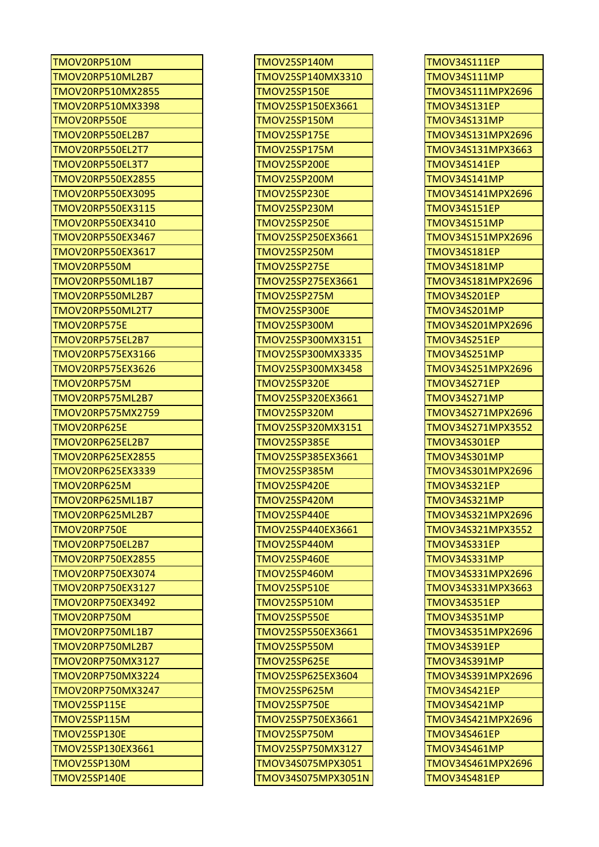| TMOV20RP510M             | <b>TMOV25SP140M</b> | <b>TMOV34S111EP</b> |
|--------------------------|---------------------|---------------------|
| TMOV20RP510ML2B7         | TMOV25SP140MX3310   | TMOV34S111MP        |
| <b>TMOV20RP510MX2855</b> | <b>TMOV25SP150E</b> | TMOV34S111MPX2696   |
| <b>TMOV20RP510MX3398</b> | TMOV25SP150EX3661   | <b>TMOV34S131EP</b> |
| TMOV20RP550E             | <b>TMOV25SP150M</b> | <b>TMOV34S131MP</b> |
| TMOV20RP550EL2B7         | <b>TMOV25SP175E</b> | TMOV34S131MPX2696   |
| TMOV20RP550EL2T7         | <b>TMOV25SP175M</b> | TMOV34S131MPX3663   |
| TMOV20RP550EL3T7         | <b>TMOV25SP200E</b> | TMOV34S141EP        |
| <b>TMOV20RP550EX2855</b> | <b>TMOV25SP200M</b> | TMOV34S141MP        |
| <b>TMOV20RP550EX3095</b> | <b>TMOV25SP230E</b> | TMOV34S141MPX2696   |
| TMOV20RP550EX3115        | TMOV25SP230M        | TMOV34S151EP        |
| TMOV20RP550EX3410        | <b>TMOV25SP250E</b> | <b>TMOV34S151MP</b> |
| TMOV20RP550EX3467        | TMOV25SP250EX3661   | TMOV34S151MPX2696   |
| TMOV20RP550EX3617        | <b>TMOV25SP250M</b> | <b>TMOV34S181EP</b> |
| TMOV20RP550M             | <b>TMOV25SP275E</b> | TMOV34S181MP        |
| TMOV20RP550ML1B7         | TMOV25SP275EX3661   | TMOV34S181MPX2696   |
| TMOV20RP550ML2B7         | <b>TMOV25SP275M</b> | <b>TMOV34S201EP</b> |
| TMOV20RP550ML2T7         | <b>TMOV25SP300E</b> | <b>TMOV34S201MP</b> |
| TMOV20RP575E             | <b>TMOV25SP300M</b> | TMOV34S201MPX2696   |
| TMOV20RP575EL2B7         | TMOV25SP300MX3151   | <b>TMOV34S251EP</b> |
| TMOV20RP575EX3166        | TMOV25SP300MX3335   | <b>TMOV34S251MP</b> |
| TMOV20RP575EX3626        | TMOV25SP300MX3458   | TMOV34S251MPX2696   |
| TMOV20RP575M             | <b>TMOV25SP320E</b> | <b>TMOV34S271EP</b> |
| TMOV20RP575ML2B7         | TMOV25SP320EX3661   | <b>TMOV34S271MP</b> |
| TMOV20RP575MX2759        | TMOV25SP320M        | TMOV34S271MPX2696   |
| TMOV20RP625E             | TMOV25SP320MX3151   | TMOV34S271MPX3552   |
| TMOV20RP625EL2B7         | <b>TMOV25SP385E</b> | <b>TMOV34S301EP</b> |
| <b>TMOV20RP625EX2855</b> | TMOV25SP385EX3661   | <b>TMOV34S301MP</b> |
| <b>TMOV20RP625EX3339</b> | <b>TMOV25SP385M</b> | TMOV34S301MPX2696   |
| TMOV20RP625M             | <b>TMOV25SP420E</b> | TMOV34S321EP        |
| TMOV20RP625ML1B7         | <b>TMOV25SP420M</b> | TMOV34S321MP        |
| TMOV20RP625ML2B7         | TMOV25SP440E        | TMOV34S321MPX2696   |
| TMOV20RP750E             | TMOV25SP440EX3661   | TMOV34S321MPX3552   |
| TMOV20RP750EL2B7         | TMOV25SP440M        | <b>TMOV34S331EP</b> |
| TMOV20RP750EX2855        | TMOV25SP460E        | TMOV34S331MP        |
| TMOV20RP750EX3074        | <b>TMOV25SP460M</b> | TMOV34S331MPX2696   |
| TMOV20RP750EX3127        | TMOV25SP510E        | TMOV34S331MPX3663   |
| <b>TMOV20RP750EX3492</b> | <b>TMOV25SP510M</b> | <b>TMOV34S351EP</b> |
| TMOV20RP750M             | TMOV25SP550E        | <b>TMOV34S351MP</b> |
| TMOV20RP750ML1B7         | TMOV25SP550EX3661   | TMOV34S351MPX2696   |
| TMOV20RP750ML2B7         | TMOV25SP550M        | <b>TMOV34S391EP</b> |
| TMOV20RP750MX3127        | <b>TMOV25SP625E</b> | TMOV34S391MP        |
| TMOV20RP750MX3224        | TMOV25SP625EX3604   | TMOV34S391MPX2696   |
| TMOV20RP750MX3247        | TMOV25SP625M        | <b>TMOV34S421EP</b> |
| TMOV25SP115E             | <b>TMOV25SP750E</b> | TMOV34S421MP        |
| TMOV25SP115M             | TMOV25SP750EX3661   | TMOV34S421MPX2696   |
| TMOV25SP130E             | <b>TMOV25SP750M</b> | TMOV34S461EP        |
| TMOV25SP130EX3661        | TMOV25SP750MX3127   | TMOV34S461MP        |
| TMOV25SP130M             | TMOV34S075MPX3051   | TMOV34S461MPX2696   |
| TMOV25SP140E             | TMOV34S075MPX3051N  | <b>TMOV34S481EP</b> |

| TMOV25SP140M        |
|---------------------|
|                     |
| TMOV25SP140MX3310   |
| TMOV25SP150E        |
| TMOV25SP150EX3661   |
| <b>TMOV25SP150M</b> |
| TMOV25SP175E        |
| TMOV25SP175M        |
| TMOV25SP200E        |
| TMOV25SP200M        |
| <b>TMOV25SP230E</b> |
| TMOV25SP230M        |
| TMOV25SP250E        |
| TMOV25SP250EX3661   |
| TMOV25SP250M        |
| TMOV25SP275E        |
| TMOV25SP275EX3661   |
| <b>TMOV25SP275M</b> |
| TMOV25SP300E        |
| TMOV25SP300M        |
|                     |
| TMOV25SP300MX3151   |
| TMOV25SP300MX3335   |
| TMOV25SP300MX3458   |
| TMOV25SP320E        |
| TMOV25SP320EX3661   |
| TMOV25SP320M        |
| TMOV25SP320MX3151   |
| TMOV25SP385E        |
| TMOV25SP385EX3661   |
| TMOV25SP385M        |
| TMOV25SP420E        |
| TMOV25SP420M        |
| TMOV25SP440E        |
| TMOV25SP440EX3661   |
| TMOV25SP440M        |
| TMOV25SP460E        |
| TMOV25SP460M        |
| <b>TMOV25SP510E</b> |
| TMOV25SP510M        |
|                     |
| TMOV25SP550E        |
| TMOV25SP550EX3661   |
| TMOV25SP550M        |
| TMOV25SP625E        |
| TMOV25SP625EX3604   |
| TMOV25SP625M        |
| <b>TMOV25SP750E</b> |
| TMOV25SP750EX3661   |
| TMOV25SP750M        |
| TMOV25SP750MX3127   |
| TMOV34S075MPX3051   |
| TMOV34S075MPX3051N  |

| <b>TMOV34S111EP</b> |
|---------------------|
| <b>TMOV34S111MP</b> |
| TMOV34S111MPX2696   |
| <b>TMOV34S131EP</b> |
| <b>TMOV34S131MP</b> |
| TMOV34S131MPX2696   |
| TMOV34S131MPX3663   |
| <b>TMOV34S141EP</b> |
| <b>TMOV34S141MP</b> |
| TMOV34S141MPX2696   |
| <b>TMOV34S151EP</b> |
| <b>TMOV34S151MP</b> |
| TMOV34S151MPX2696   |
| <b>TMOV34S181EP</b> |
|                     |
| <b>TMOV34S181MP</b> |
| TMOV34S181MPX2696   |
| <b>TMOV34S201EP</b> |
| <b>TMOV34S201MP</b> |
| TMOV34S201MPX2696   |
| <b>TMOV34S251EP</b> |
| <b>TMOV34S251MP</b> |
| TMOV34S251MPX2696   |
| <b>TMOV34S271EP</b> |
| TMOV34S271MP        |
| TMOV34S271MPX2696   |
| TMOV34S271MPX3552   |
| <b>TMOV34S301EP</b> |
| <b>TMOV34S301MP</b> |
| TMOV34S301MPX2696   |
| <b>TMOV34S321EP</b> |
| <b>TMOV34S321MP</b> |
| TMOV34S321MPX2696   |
| TMOV34S321MPX3552   |
| <b>TMOV34S331EP</b> |
| <b>TMOV34S331MP</b> |
| TMOV34S331MPX2696   |
| TMOV34S331MPX3663   |
| <b>TMOV34S351EP</b> |
| <b>TMOV34S351MP</b> |
| TMOV34S351MPX2696   |
| <b>TMOV34S391EP</b> |
|                     |
| <b>TMOV34S391MP</b> |
| TMOV34S391MPX2696   |
| <b>TMOV34S421EP</b> |
| <b>TMOV34S421MP</b> |
| TMOV34S421MPX2696   |
| <b>TMOV34S461EP</b> |
| TMOV34S461MP        |
| TMOV34S461MPX2696   |
| <b>TMOV34S481EP</b> |